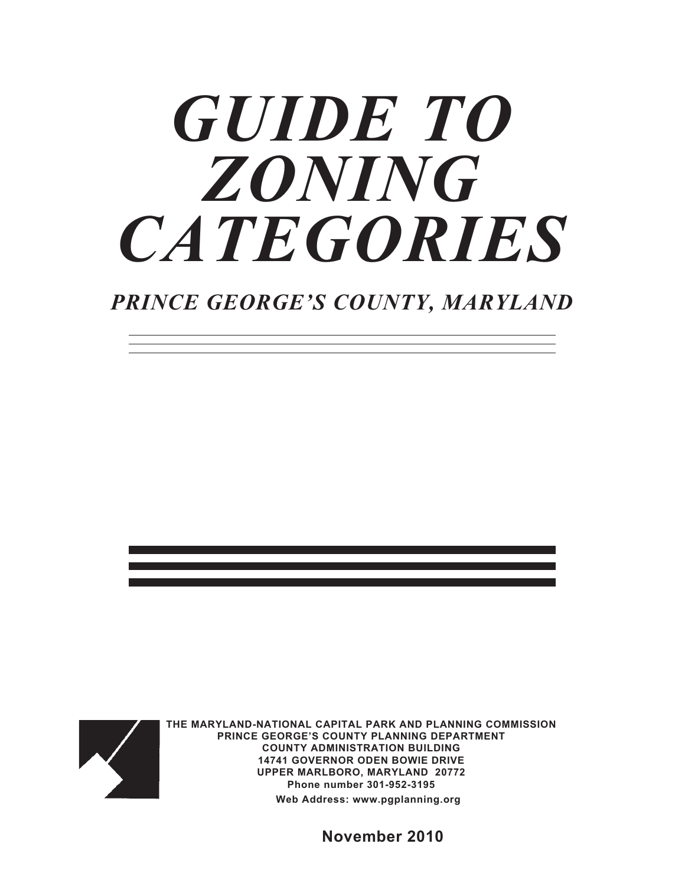# *GUIDE TO ZONING CATEGORIES*

## *PRINCE GEORGE'S COUNTY, MARYLAND*



**THE MARYLAND-NATIONAL CAPITAL PARK AND PLANNING COMMISSION PRINCE GEORGE'S COUNTY PLANNING DEPARTMENT COUNTY ADMINISTRATION BUILDING 14741 GOVERNOR ODEN BOWIE DRIVE UPPER MARLBORO, MARYLAND 20772 Phone number 301-952-3195 Web Address: [www.pgplanning.org](http://www.pgplanning.org)**

 **November 2010**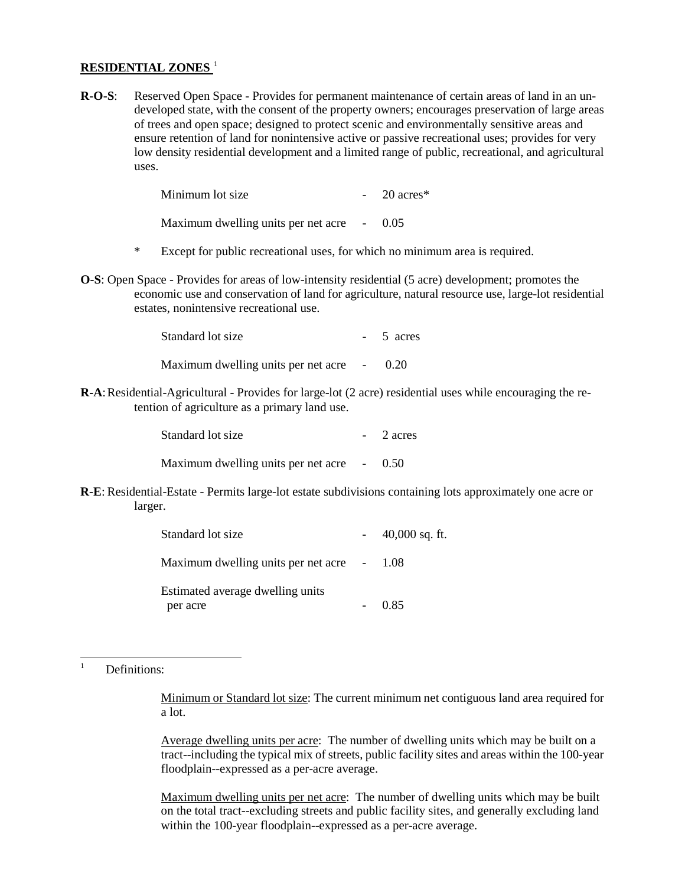#### **RESIDENTIAL ZONES** [1](#page-1-0)

**R-O-S**: Reserved Open Space - Provides for permanent maintenance of certain areas of land in an undeveloped state, with the consent of the property owners; encourages preservation of large areas of trees and open space; designed to protect scenic and environmentally sensitive areas and ensure retention of land for nonintensive active or passive recreational uses; provides for very low density residential development and a limited range of public, recreational, and agricultural uses.

| Minimum lot size                           | $-20$ acres* |
|--------------------------------------------|--------------|
| Maximum dwelling units per net acre - 0.05 |              |

- \* Except for public recreational uses, for which no minimum area is required.
- **O-S**: Open Space Provides for areas of low-intensity residential (5 acre) development; promotes the economic use and conservation of land for agriculture, natural resource use, large-lot residential estates, nonintensive recreational use.

| Standard lot size                          | - 5 acres |
|--------------------------------------------|-----------|
| Maximum dwelling units per net acre - 0.20 |           |

**R-A**: Residential-Agricultural - Provides for large-lot (2 acre) residential uses while encouraging the retention of agriculture as a primary land use.

| Standard lot size                          | $-2$ acres |
|--------------------------------------------|------------|
| Maximum dwelling units per net acre - 0.50 |            |

**R-E**: Residential-Estate - Permits large-lot estate subdivisions containing lots approximately one acre or larger.

| Standard lot size                            | $-40,000$ sq. ft. |
|----------------------------------------------|-------------------|
| Maximum dwelling units per net acre - 1.08   |                   |
| Estimated average dwelling units<br>per acre | 0.85              |
|                                              |                   |

<span id="page-1-0"></span>|<br>|<br>| Definitions:

> Minimum or Standard lot size: The current minimum net contiguous land area required for a lot.

> Average dwelling units per acre: The number of dwelling units which may be built on a tract--including the typical mix of streets, public facility sites and areas within the 100-year floodplain--expressed as a per-acre average.

> Maximum dwelling units per net acre: The number of dwelling units which may be built on the total tract--excluding streets and public facility sites, and generally excluding land within the 100-year floodplain--expressed as a per-acre average.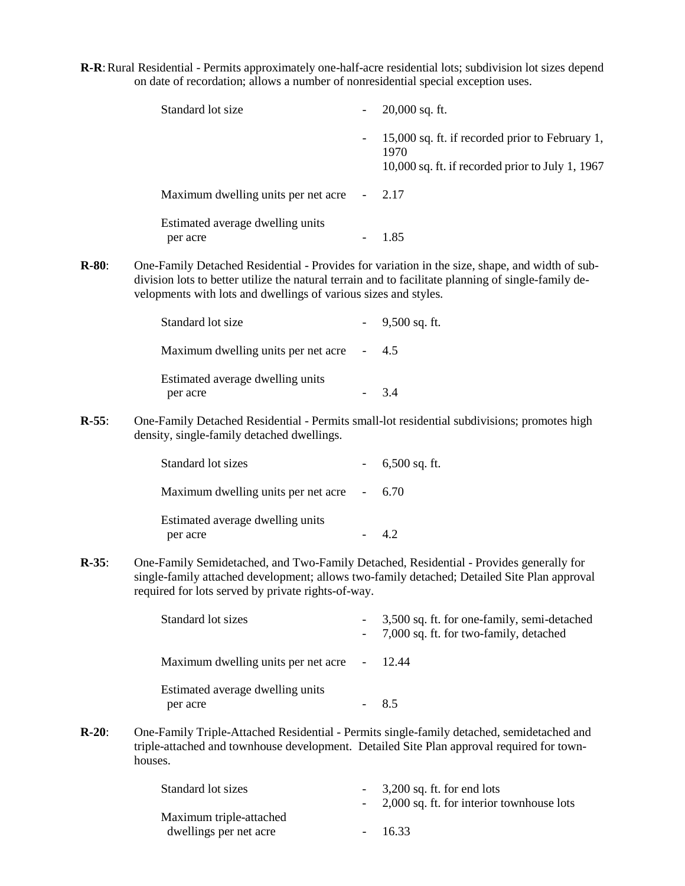**R-R**: Rural Residential - Permits approximately one-half-acre residential lots; subdivision lot sizes depend on date of recordation; allows a number of nonresidential special exception uses.

| Standard lot size                            | $20,000$ sq. ft.                                                                                              |
|----------------------------------------------|---------------------------------------------------------------------------------------------------------------|
|                                              | 15,000 sq. ft. if recorded prior to February 1,<br>1970<br>$10,000$ sq. ft. if recorded prior to July 1, 1967 |
| Maximum dwelling units per net acre          | 2.17                                                                                                          |
| Estimated average dwelling units<br>per acre | 1.85                                                                                                          |

**R-80**: One-Family Detached Residential - Provides for variation in the size, shape, and width of subdivision lots to better utilize the natural terrain and to facilitate planning of single-family developments with lots and dwellings of various sizes and styles.

| Standard lot size                            | $-9,500$ sq. ft. |
|----------------------------------------------|------------------|
| Maximum dwelling units per net acre - 4.5    |                  |
| Estimated average dwelling units<br>per acre | 34               |

**R-55**: One-Family Detached Residential - Permits small-lot residential subdivisions; promotes high density, single-family detached dwellings.

| Standard lot sizes                           | $-6,500$ sq. ft. |
|----------------------------------------------|------------------|
| Maximum dwelling units per net acre - 6.70   |                  |
| Estimated average dwelling units<br>per acre |                  |

**R-35**: One-Family Semidetached, and Two-Family Detached, Residential - Provides generally for single-family attached development; allows two-family detached; Detailed Site Plan approval required for lots served by private rights-of-way.

| Standard lot sizes                           | - 3,500 sq. ft. for one-family, semi-detached<br>- 7,000 sq. ft. for two-family, detached |
|----------------------------------------------|-------------------------------------------------------------------------------------------|
| Maximum dwelling units per net acre - 12.44  |                                                                                           |
| Estimated average dwelling units<br>per acre |                                                                                           |

**R-20**: One-Family Triple-Attached Residential - Permits single-family detached, semidetached and triple-attached and townhouse development. Detailed Site Plan approval required for townhouses.

| Standard lot sizes      | $-3,200$ sq. ft. for end lots               |
|-------------------------|---------------------------------------------|
|                         | - 2,000 sq. ft. for interior townhouse lots |
| Maximum triple-attached |                                             |
| dwellings per net acre  | $-16.33$                                    |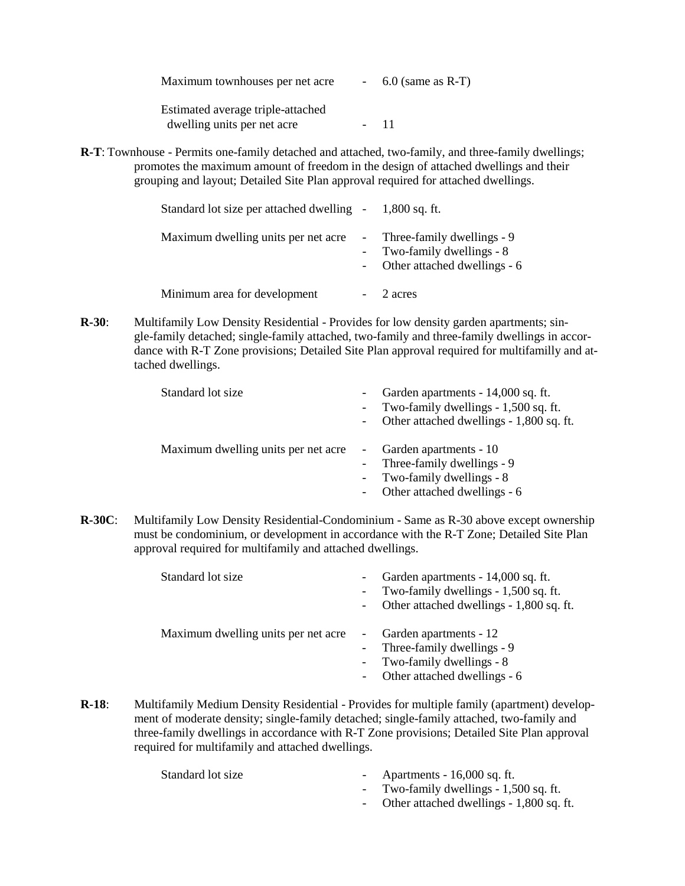Maximum townhouses per net acre - 6.0 (same as R-T) Estimated average triple-attached dwelling units per net acre - 11

**R-T**: Townhouse - Permits one-family detached and attached, two-family, and three-family dwellings; promotes the maximum amount of freedom in the design of attached dwellings and their grouping and layout; Detailed Site Plan approval required for attached dwellings.

| Standard lot size per attached dwelling - 1,800 sq. ft. |            |                                                                                            |
|---------------------------------------------------------|------------|--------------------------------------------------------------------------------------------|
| Maximum dwelling units per net acre                     | $\sim 100$ | - Three-family dwellings - 9<br>- Two-family dwellings - 8<br>Other attached dwellings - 6 |
| Minimum area for development                            |            | 2 acres                                                                                    |

**R-30**: Multifamily Low Density Residential - Provides for low density garden apartments; single-family detached; single-family attached, two-family and three-family dwellings in accordance with R-T Zone provisions; Detailed Site Plan approval required for multifamilly and attached dwellings.

| Standard lot size                   | Garden apartments - 14,000 sq. ft.<br>- Two-family dwellings - 1,500 sq. ft.<br>Other attached dwellings - 1,800 sq. ft. |
|-------------------------------------|--------------------------------------------------------------------------------------------------------------------------|
| Maximum dwelling units per net acre | Garden apartments - 10<br>- Three-family dwellings - 9<br>- Two-family dwellings - 8<br>Other attached dwellings - 6     |

**R-30C**: Multifamily Low Density Residential-Condominium - Same as R-30 above except ownership must be condominium, or development in accordance with the R-T Zone; Detailed Site Plan approval required for multifamily and attached dwellings.

| Standard lot size                   | $\overline{\phantom{0}}$ | Garden apartments - 14,000 sq. ft.<br>- Two-family dwellings - 1,500 sq. ft.<br>- Other attached dwellings - 1,800 sq. ft. |
|-------------------------------------|--------------------------|----------------------------------------------------------------------------------------------------------------------------|
| Maximum dwelling units per net acre | $\sim$                   | Garden apartments - 12<br>- Three-family dwellings - 9<br>Two-family dwellings - 8<br>Other attached dwellings - 6         |

**R-18**: Multifamily Medium Density Residential - Provides for multiple family (apartment) development of moderate density; single-family detached; single-family attached, two-family and three-family dwellings in accordance with R-T Zone provisions; Detailed Site Plan approval required for multifamily and attached dwellings.

- Standard lot size Apartments 16,000 sq. ft.
	- Two-family dwellings 1,500 sq. ft.
	- Other attached dwellings 1,800 sq. ft.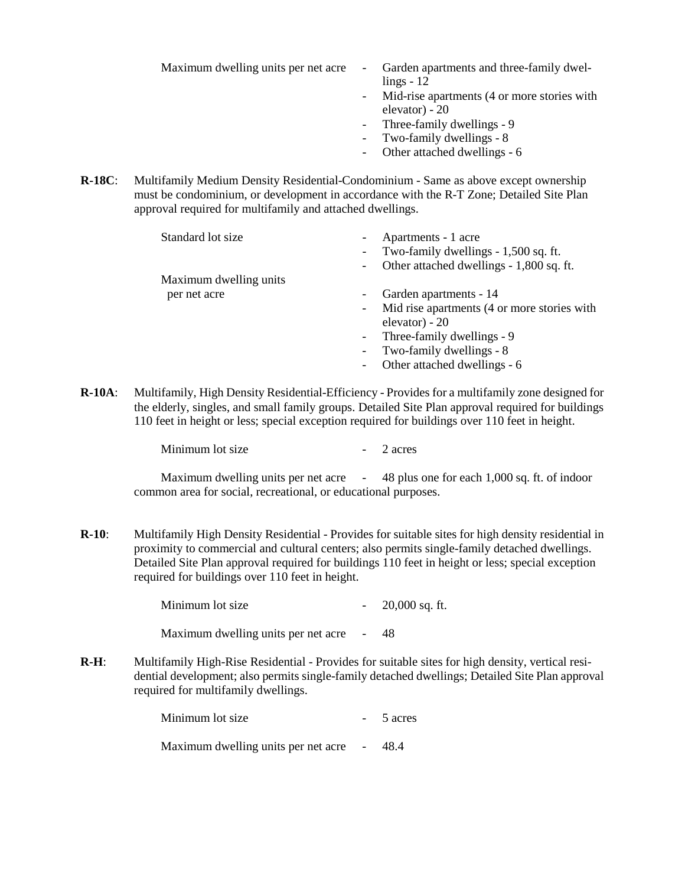- Maximum dwelling units per net acre Garden apartments and three-family dwellings - 12
	- Mid-rise apartments (4 or more stories with elevator) - 20
	- Three-family dwellings 9
	- Two-family dwellings 8
	- Other attached dwellings 6
- **R-18C**: Multifamily Medium Density Residential-Condominium Same as above except ownership must be condominium, or development in accordance with the R-T Zone; Detailed Site Plan approval required for multifamily and attached dwellings.

| Standard lot size      | Apartments - 1 acre                                                     |
|------------------------|-------------------------------------------------------------------------|
|                        | Two-family dwellings - 1,500 sq. ft.<br>$\overline{\phantom{a}}$        |
|                        | Other attached dwellings - 1,800 sq. ft.<br>$\overline{\phantom{a}}$    |
| Maximum dwelling units |                                                                         |
| per net acre           | Garden apartments - 14<br>$\overline{\phantom{a}}$                      |
|                        | Mid rise apartments (4 or more stories with<br>$\overline{\phantom{a}}$ |
|                        | elevator) - $20$                                                        |
|                        | Three-family dwellings - 9<br>$\sim$                                    |
|                        | Two-family dwellings - 8<br>$\overline{\phantom{a}}$                    |
|                        | Other attached dwellings - 6<br>$\overline{\phantom{a}}$                |
|                        |                                                                         |

**R-10A**: Multifamily, High Density Residential-Efficiency - Provides for a multifamily zone designed for the elderly, singles, and small family groups. Detailed Site Plan approval required for buildings 110 feet in height or less; special exception required for buildings over 110 feet in height.

| Minimum lot size |  | 2 acres |
|------------------|--|---------|
|------------------|--|---------|

Maximum dwelling units per net acre - 48 plus one for each 1,000 sq. ft. of indoor common area for social, recreational, or educational purposes.

**R-10**: Multifamily High Density Residential - Provides for suitable sites for high density residential in proximity to commercial and cultural centers; also permits single-family detached dwellings. Detailed Site Plan approval required for buildings 110 feet in height or less; special exception required for buildings over 110 feet in height.

> Minimum lot size  $-20,000$  sq. ft. Maximum dwelling units per net acre - 48

**R-H**: Multifamily High-Rise Residential - Provides for suitable sites for high density, vertical residential development; also permits single-family detached dwellings; Detailed Site Plan approval required for multifamily dwellings.

| Minimum lot size                           | $-5$ acres |
|--------------------------------------------|------------|
| Maximum dwelling units per net acre - 48.4 |            |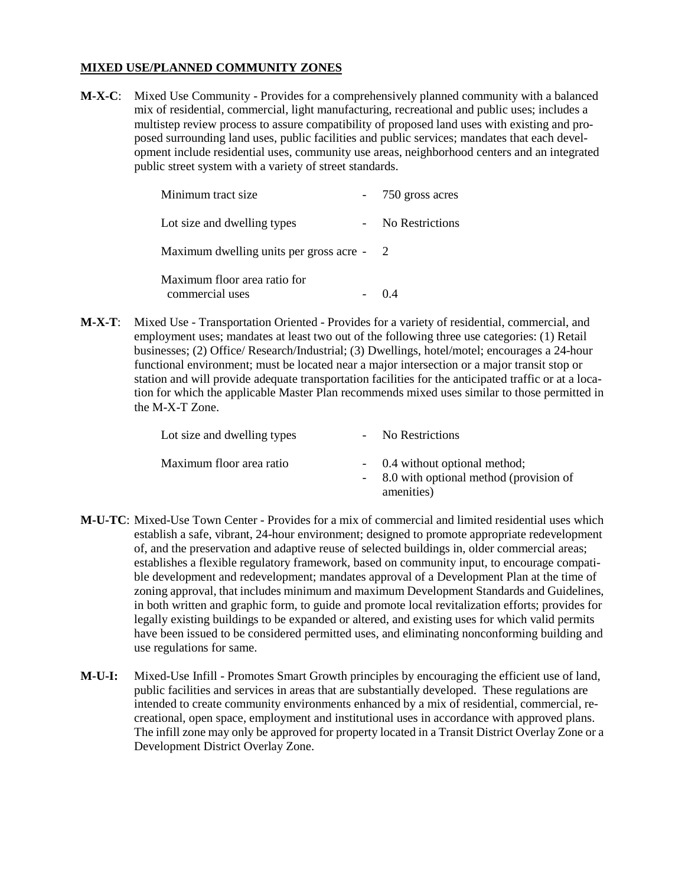#### **MIXED USE/PLANNED COMMUNITY ZONES**

**M-X-C**: Mixed Use Community - Provides for a comprehensively planned community with a balanced mix of residential, commercial, light manufacturing, recreational and public uses; includes a multistep review process to assure compatibility of proposed land uses with existing and proposed surrounding land uses, public facilities and public services; mandates that each development include residential uses, community use areas, neighborhood centers and an integrated public street system with a variety of street standards.

| Minimum tract size                              | - 750 gross acres |
|-------------------------------------------------|-------------------|
| Lot size and dwelling types                     | No Restrictions   |
| Maximum dwelling units per gross acre - 2       |                   |
| Maximum floor area ratio for<br>commercial uses |                   |

**M-X-T**: Mixed Use - Transportation Oriented - Provides for a variety of residential, commercial, and employment uses; mandates at least two out of the following three use categories: (1) Retail businesses; (2) Office/ Research/Industrial; (3) Dwellings, hotel/motel; encourages a 24-hour functional environment; must be located near a major intersection or a major transit stop or station and will provide adequate transportation facilities for the anticipated traffic or at a location for which the applicable Master Plan recommends mixed uses similar to those permitted in the M-X-T Zone.

| Lot size and dwelling types | - No Restrictions                                                                        |
|-----------------------------|------------------------------------------------------------------------------------------|
| Maximum floor area ratio    | - 0.4 without optional method;<br>- 8.0 with optional method (provision of<br>amenities) |

- **M-U-TC**: Mixed-Use Town Center Provides for a mix of commercial and limited residential uses which establish a safe, vibrant, 24-hour environment; designed to promote appropriate redevelopment of, and the preservation and adaptive reuse of selected buildings in, older commercial areas; establishes a flexible regulatory framework, based on community input, to encourage compatible development and redevelopment; mandates approval of a Development Plan at the time of zoning approval, that includes minimum and maximum Development Standards and Guidelines, in both written and graphic form, to guide and promote local revitalization efforts; provides for legally existing buildings to be expanded or altered, and existing uses for which valid permits have been issued to be considered permitted uses, and eliminating nonconforming building and use regulations for same.
- **M-U-I:** Mixed-Use Infill Promotes Smart Growth principles by encouraging the efficient use of land, public facilities and services in areas that are substantially developed. These regulations are intended to create community environments enhanced by a mix of residential, commercial, recreational, open space, employment and institutional uses in accordance with approved plans. The infill zone may only be approved for property located in a Transit District Overlay Zone or a Development District Overlay Zone.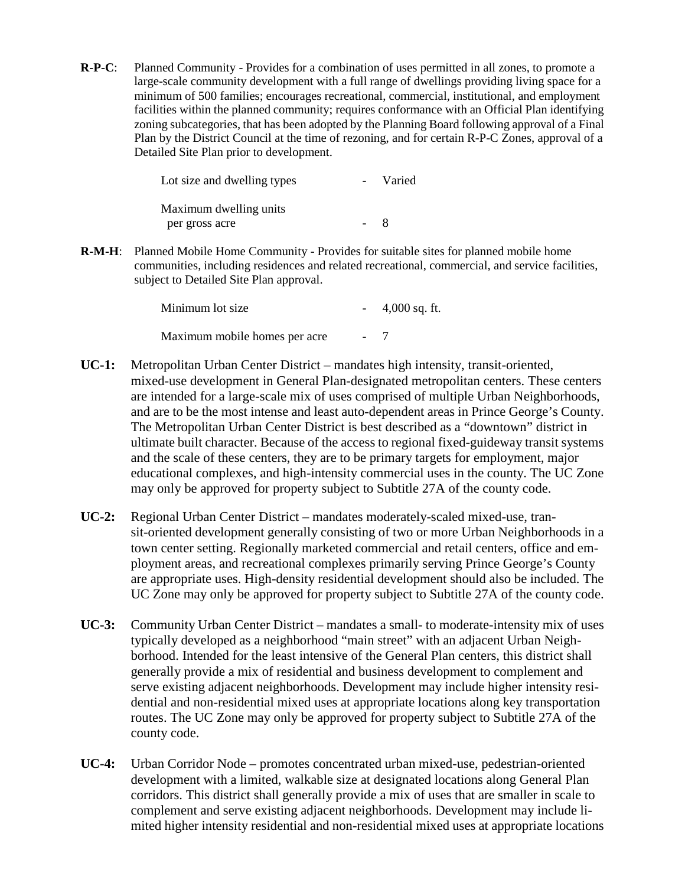**R-P-C**: Planned Community - Provides for a combination of uses permitted in all zones, to promote a large-scale community development with a full range of dwellings providing living space for a minimum of 500 families; encourages recreational, commercial, institutional, and employment facilities within the planned community; requires conformance with an Official Plan identifying zoning subcategories, that has been adopted by the Planning Board following approval of a Final Plan by the District Council at the time of rezoning, and for certain R-P-C Zones, approval of a Detailed Site Plan prior to development.

| Lot size and dwelling types |                        | Varied |
|-----------------------------|------------------------|--------|
|                             | Maximum dwelling units |        |
|                             | per gross acre         | $-8$   |

**R-M-H**: Planned Mobile Home Community - Provides for suitable sites for planned mobile home communities, including residences and related recreational, commercial, and service facilities, subject to Detailed Site Plan approval.

| Minimum lot size              | $-4,000$ sq. ft. |
|-------------------------------|------------------|
| Maximum mobile homes per acre | $-7$             |

- **UC-1:** Metropolitan Urban Center District mandates high intensity, transit-oriented, mixed-use development in General Plan-designated metropolitan centers. These centers are intended for a large-scale mix of uses comprised of multiple Urban Neighborhoods, and are to be the most intense and least auto-dependent areas in Prince George's County. The Metropolitan Urban Center District is best described as a "downtown" district in ultimate built character. Because of the access to regional fixed-guideway transit systems and the scale of these centers, they are to be primary targets for employment, major educational complexes, and high-intensity commercial uses in the county. The UC Zone may only be approved for property subject to Subtitle 27A of the county code.
- **UC-2:** Regional Urban Center District mandates moderately-scaled mixed-use, transit-oriented development generally consisting of two or more Urban Neighborhoods in a town center setting. Regionally marketed commercial and retail centers, office and employment areas, and recreational complexes primarily serving Prince George's County are appropriate uses. High-density residential development should also be included. The UC Zone may only be approved for property subject to Subtitle 27A of the county code.
- **UC-3:** Community Urban Center District mandates a small- to moderate-intensity mix of uses typically developed as a neighborhood "main street" with an adjacent Urban Neighborhood. Intended for the least intensive of the General Plan centers, this district shall generally provide a mix of residential and business development to complement and serve existing adjacent neighborhoods. Development may include higher intensity residential and non-residential mixed uses at appropriate locations along key transportation routes. The UC Zone may only be approved for property subject to Subtitle 27A of the county code.
- **UC-4:** Urban Corridor Node promotes concentrated urban mixed-use, pedestrian-oriented development with a limited, walkable size at designated locations along General Plan corridors. This district shall generally provide a mix of uses that are smaller in scale to complement and serve existing adjacent neighborhoods. Development may include limited higher intensity residential and non-residential mixed uses at appropriate locations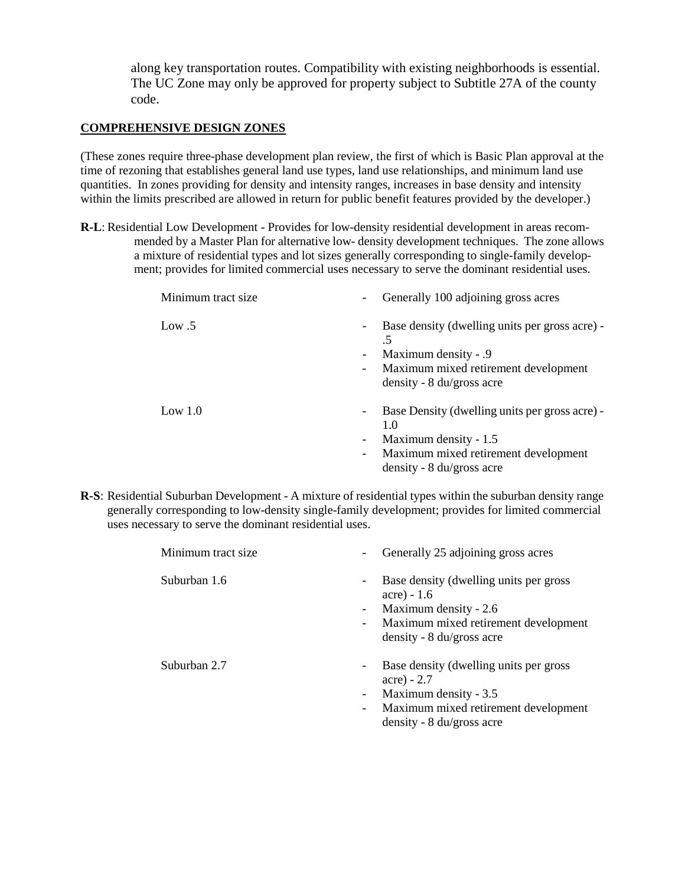along key transportation routes. Compatibility with existing neighborhoods is essential. The UC Zone may only be approved for property subject to Subtitle 27A of the county code.

#### **COMPREHENSIVE DESIGN ZONES**

(These zones require three-phase development plan review, the first of which is Basic Plan approval at the time of rezoning that establishes general land use types, land use relationships, and minimum land use quantities. In zones providing for density and intensity ranges, increases in base density and intensity within the limits prescribed are allowed in return for public benefit features provided by the developer.)

**R-L**: Residential Low Development - Provides for low-density residential development in areas recommended by a Master Plan for alternative low- density development techniques. The zone allows a mixture of residential types and lot sizes generally corresponding to single-family development; provides for limited commercial uses necessary to serve the dominant residential uses.

| Minimum tract size | Generally 100 adjoining gross acres                                              |
|--------------------|----------------------------------------------------------------------------------|
| Low $.5$           | Base density (dwelling units per gross acre) -<br>.5<br>Maximum density - .9     |
|                    | Maximum mixed retirement development<br>-<br>density - $8 \text{ du/gross acre}$ |
| Low $1.0$          | Base Density (dwelling units per gross acre) -<br>1.0                            |
|                    | Maximum density - 1.5                                                            |
|                    | Maximum mixed retirement development<br>$\overline{\phantom{a}}$                 |
|                    | density - $8 \text{ du/gross acre}$                                              |

**R-S**: Residential Suburban Development - A mixture of residential types within the suburban density range generally corresponding to low-density single-family development; provides for limited commercial uses necessary to serve the dominant residential uses.

| Minimum tract size | Generally 25 adjoining gross acres<br>$\overline{\phantom{a}}$                                                                                                                                                    |
|--------------------|-------------------------------------------------------------------------------------------------------------------------------------------------------------------------------------------------------------------|
| Suburban 1.6       | Base density (dwelling units per gross)<br>$\overline{\phantom{a}}$<br>$accre) - 1.6$<br>Maximum density - 2.6<br>Ξ.<br>Maximum mixed retirement development<br>$\sim$ $-$<br>density - $8 \text{ du/gross acre}$ |
| Suburban 2.7       | Base density (dwelling units per gross<br>-<br>$accre) - 2.7$<br>Maximum density - 3.5<br>Maximum mixed retirement development<br>$\overline{\phantom{a}}$<br>density - $8 \text{ du/gross acre}$                 |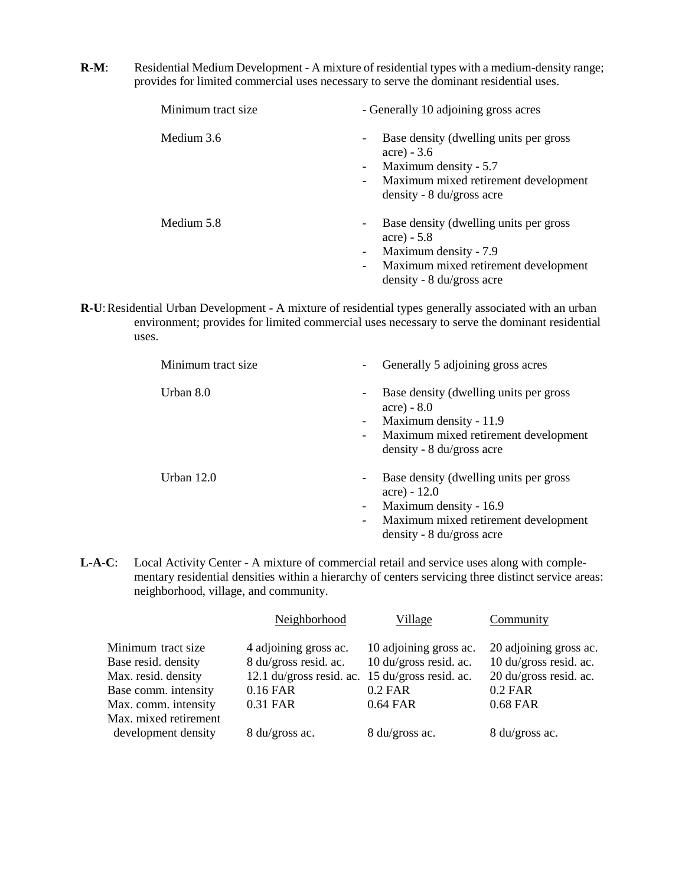**R-M:** Residential Medium Development - A mixture of residential types with a medium-density range; provides for limited commercial uses necessary to serve the dominant residential uses.

| Minimum tract size | - Generally 10 adjoining gross acres                                                                                                                                                                                                                 |  |
|--------------------|------------------------------------------------------------------------------------------------------------------------------------------------------------------------------------------------------------------------------------------------------|--|
| Medium 3.6         | Base density (dwelling units per gross<br>$\overline{\phantom{a}}$<br>$accre) - 3.6$<br>Maximum density - 5.7<br>$\overline{\phantom{a}}$<br>Maximum mixed retirement development<br>$\overline{\phantom{a}}$<br>density - $8 \text{ du/gross acre}$ |  |
| Medium 5.8         | Base density (dwelling units per gross<br>$\overline{\phantom{a}}$<br>acre) $-5.8$<br>Maximum density - 7.9<br>$\overline{\phantom{a}}$<br>Maximum mixed retirement development<br>$\overline{\phantom{a}}$<br>density - $8 \text{ du/gross acre}$   |  |

**R-U**: Residential Urban Development - A mixture of residential types generally associated with an urban environment; provides for limited commercial uses necessary to serve the dominant residential uses.

| Minimum tract size | Generally 5 adjoining gross acres                                                                                                                                                                                                                              |
|--------------------|----------------------------------------------------------------------------------------------------------------------------------------------------------------------------------------------------------------------------------------------------------------|
| Urban 8.0          | Base density (dwelling units per gross<br>$\overline{\phantom{a}}$<br>$accre) - 8.0$<br>Maximum density - 11.9<br>$\overline{\phantom{a}}$<br>Maximum mixed retirement development<br>$\overline{\phantom{a}}$<br>density - $8 \text{ du/gross acre}$          |
| Urban $12.0$       | Base density (dwelling units per gross)<br>$\overline{\phantom{a}}$<br>$(\text{acre}) - 12.0$<br>Maximum density - 16.9<br>$\overline{\phantom{a}}$<br>Maximum mixed retirement development<br>$\overline{\phantom{a}}$<br>density - $8 \text{ du/gross acre}$ |

**L-A-C**: Local Activity Center - A mixture of commercial retail and service uses along with complementary residential densities within a hierarchy of centers servicing three distinct service areas: neighborhood, village, and community.

|                                                                                          | Neighborhood                                                                                                  | Village                                                       | Community                                                                               |
|------------------------------------------------------------------------------------------|---------------------------------------------------------------------------------------------------------------|---------------------------------------------------------------|-----------------------------------------------------------------------------------------|
| Minimum tract size<br>Base resid. density<br>Max. resid. density<br>Base comm. intensity | 4 adjoining gross ac.<br>8 du/gross resid. ac.<br>12.1 du/gross resid. ac. 15 du/gross resid. ac.<br>0.16 FAR | 10 adjoining gross ac.<br>10 du/gross resid. ac.<br>$0.2$ FAR | 20 adjoining gross ac.<br>10 du/gross resid. ac.<br>20 du/gross resid. ac.<br>$0.2$ FAR |
| Max. comm. intensity<br>Max. mixed retirement<br>development density                     | 0.31 FAR<br>8 du/gross ac.                                                                                    | 0.64 FAR<br>8 du/gross ac.                                    | 0.68 FAR<br>8 du/gross ac.                                                              |
|                                                                                          |                                                                                                               |                                                               |                                                                                         |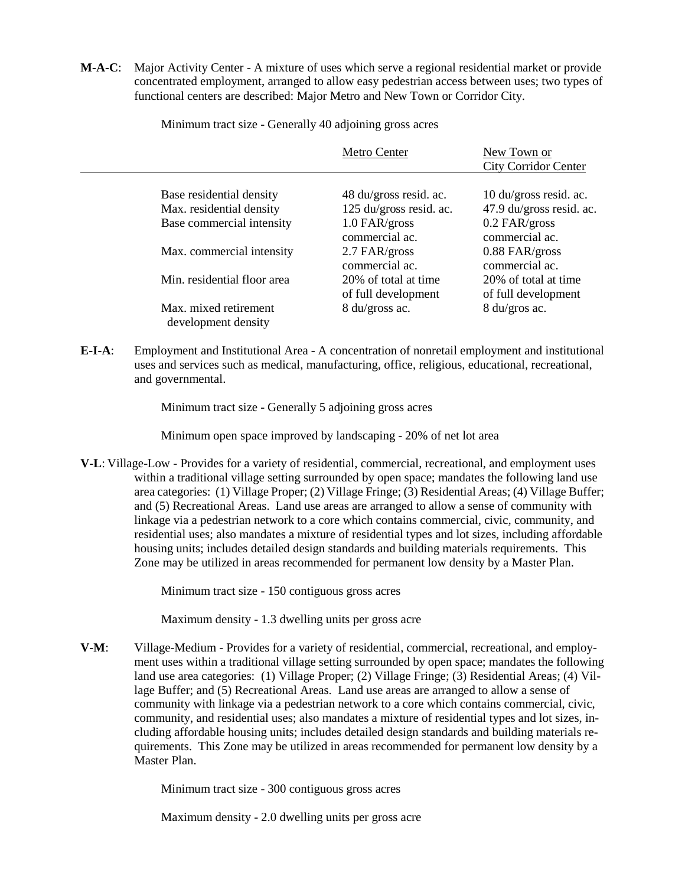**M-A-C**: Major Activity Center - A mixture of uses which serve a regional residential market or provide concentrated employment, arranged to allow easy pedestrian access between uses; two types of functional centers are described: Major Metro and New Town or Corridor City.

Minimum tract size - Generally 40 adjoining gross acres

|                                              | Metro Center                                | New Town or<br><b>City Corridor Center</b>  |
|----------------------------------------------|---------------------------------------------|---------------------------------------------|
| Base residential density                     | 48 du/gross resid. ac.                      | 10 du/gross resid. ac.                      |
| Max. residential density                     | 125 du/gross resid. ac.                     | 47.9 du/gross resid. ac.                    |
| Base commercial intensity                    | 1.0 FAR/gross<br>commercial ac.             | $0.2$ FAR/gross<br>commercial ac.           |
| Max. commercial intensity                    | 2.7 FAR/gross<br>commercial ac.             | $0.88$ FAR/gross<br>commercial ac.          |
| Min. residential floor area                  | 20% of total at time<br>of full development | 20% of total at time<br>of full development |
| Max. mixed retirement<br>development density | 8 du/gross ac.                              | 8 du/gros ac.                               |

**E-I-A**: Employment and Institutional Area - A concentration of nonretail employment and institutional uses and services such as medical, manufacturing, office, religious, educational, recreational, and governmental.

Minimum tract size - Generally 5 adjoining gross acres

Minimum open space improved by landscaping - 20% of net lot area

**V-L**: Village-Low - Provides for a variety of residential, commercial, recreational, and employment uses within a traditional village setting surrounded by open space; mandates the following land use area categories: (1) Village Proper; (2) Village Fringe; (3) Residential Areas; (4) Village Buffer; and (5) Recreational Areas. Land use areas are arranged to allow a sense of community with linkage via a pedestrian network to a core which contains commercial, civic, community, and residential uses; also mandates a mixture of residential types and lot sizes, including affordable housing units; includes detailed design standards and building materials requirements. This Zone may be utilized in areas recommended for permanent low density by a Master Plan.

Minimum tract size - 150 contiguous gross acres

Maximum density - 1.3 dwelling units per gross acre

**V-M**: Village-Medium - Provides for a variety of residential, commercial, recreational, and employment uses within a traditional village setting surrounded by open space; mandates the following land use area categories: (1) Village Proper; (2) Village Fringe; (3) Residential Areas; (4) Village Buffer; and (5) Recreational Areas. Land use areas are arranged to allow a sense of community with linkage via a pedestrian network to a core which contains commercial, civic, community, and residential uses; also mandates a mixture of residential types and lot sizes, including affordable housing units; includes detailed design standards and building materials requirements. This Zone may be utilized in areas recommended for permanent low density by a Master Plan.

Minimum tract size - 300 contiguous gross acres

Maximum density - 2.0 dwelling units per gross acre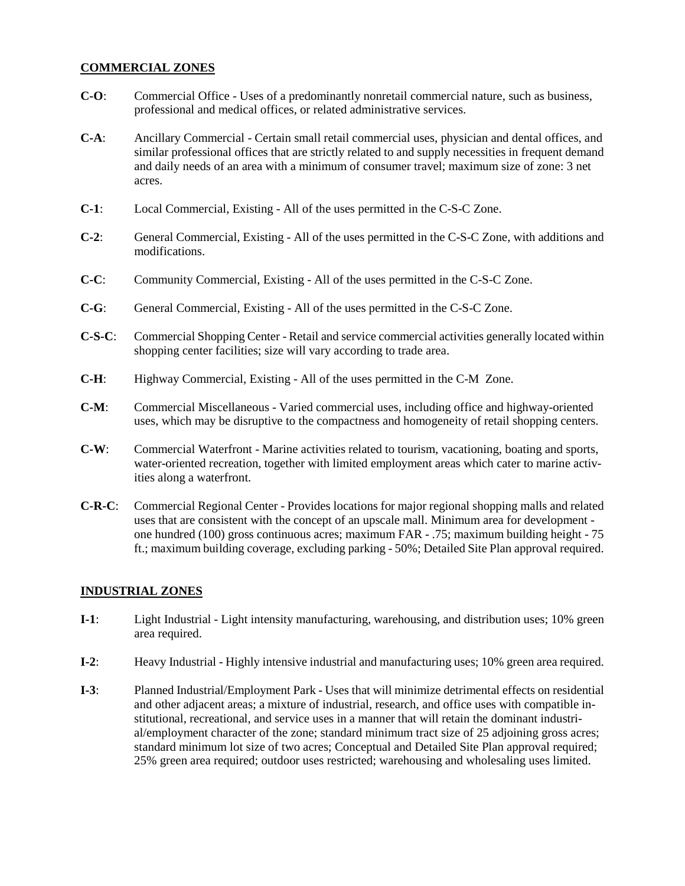#### **COMMERCIAL ZONES**

- **C-O**: Commercial Office Uses of a predominantly nonretail commercial nature, such as business, professional and medical offices, or related administrative services.
- **C-A**: Ancillary Commercial Certain small retail commercial uses, physician and dental offices, and similar professional offices that are strictly related to and supply necessities in frequent demand and daily needs of an area with a minimum of consumer travel; maximum size of zone: 3 net acres.
- **C-1**: Local Commercial, Existing All of the uses permitted in the C-S-C Zone.
- **C-2**: General Commercial, Existing All of the uses permitted in the C-S-C Zone, with additions and modifications.
- **C-C**: Community Commercial, Existing All of the uses permitted in the C-S-C Zone.
- **C-G**: General Commercial, Existing All of the uses permitted in the C-S-C Zone.
- **C-S-C**: Commercial Shopping Center Retail and service commercial activities generally located within shopping center facilities; size will vary according to trade area.
- **C-H**: Highway Commercial, Existing All of the uses permitted in the C-M Zone.
- **C-M**: Commercial Miscellaneous Varied commercial uses, including office and highway-oriented uses, which may be disruptive to the compactness and homogeneity of retail shopping centers.
- **C-W**: Commercial Waterfront Marine activities related to tourism, vacationing, boating and sports, water-oriented recreation, together with limited employment areas which cater to marine activities along a waterfront.
- **C-R-C**: Commercial Regional Center Provides locations for major regional shopping malls and related uses that are consistent with the concept of an upscale mall. Minimum area for development one hundred (100) gross continuous acres; maximum FAR - .75; maximum building height - 75 ft.; maximum building coverage, excluding parking - 50%; Detailed Site Plan approval required.

#### **INDUSTRIAL ZONES**

- **I-1**: Light Industrial Light intensity manufacturing, warehousing, and distribution uses; 10% green area required.
- **I-2**: Heavy Industrial Highly intensive industrial and manufacturing uses; 10% green area required.
- **I-3**: Planned Industrial/Employment Park Uses that will minimize detrimental effects on residential and other adjacent areas; a mixture of industrial, research, and office uses with compatible institutional, recreational, and service uses in a manner that will retain the dominant industrial/employment character of the zone; standard minimum tract size of 25 adjoining gross acres; standard minimum lot size of two acres; Conceptual and Detailed Site Plan approval required; 25% green area required; outdoor uses restricted; warehousing and wholesaling uses limited.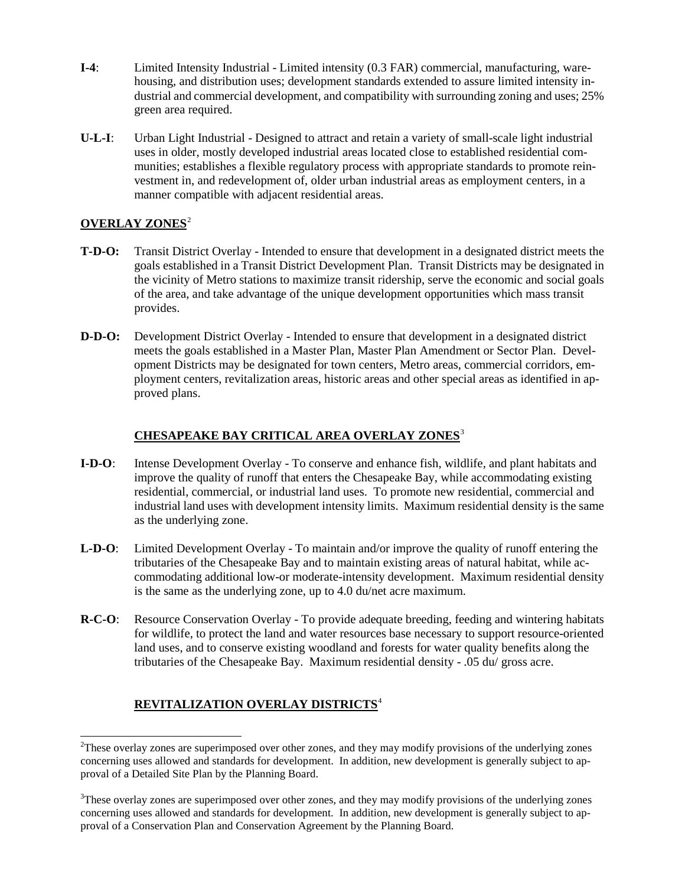- **I-4**: Limited Intensity Industrial Limited intensity (0.3 FAR) commercial, manufacturing, warehousing, and distribution uses; development standards extended to assure limited intensity industrial and commercial development, and compatibility with surrounding zoning and uses; 25% green area required.
- **U-L-I**: Urban Light Industrial Designed to attract and retain a variety of small-scale light industrial uses in older, mostly developed industrial areas located close to established residential communities; establishes a flexible regulatory process with appropriate standards to promote reinvestment in, and redevelopment of, older urban industrial areas as employment centers, in a manner compatible with adjacent residential areas.

#### **OVERLAY ZONES**[2](#page-11-0)

- **T-D-O:** Transit District Overlay Intended to ensure that development in a designated district meets the goals established in a Transit District Development Plan. Transit Districts may be designated in the vicinity of Metro stations to maximize transit ridership, serve the economic and social goals of the area, and take advantage of the unique development opportunities which mass transit provides.
- **D-D-O:** Development District Overlay Intended to ensure that development in a designated district meets the goals established in a Master Plan, Master Plan Amendment or Sector Plan. Development Districts may be designated for town centers, Metro areas, commercial corridors, employment centers, revitalization areas, historic areas and other special areas as identified in approved plans.

#### **CHESAPEAKE BAY CRITICAL AREA OVERLAY ZONES**[3](#page-11-1)

- **I-D-O**: Intense Development Overlay To conserve and enhance fish, wildlife, and plant habitats and improve the quality of runoff that enters the Chesapeake Bay, while accommodating existing residential, commercial, or industrial land uses. To promote new residential, commercial and industrial land uses with development intensity limits. Maximum residential density is the same as the underlying zone.
- **L-D-O**: Limited Development Overlay To maintain and/or improve the quality of runoff entering the tributaries of the Chesapeake Bay and to maintain existing areas of natural habitat, while accommodating additional low-or moderate-intensity development. Maximum residential density is the same as the underlying zone, up to 4.0 du/net acre maximum.
- **R-C-O**: Resource Conservation Overlay To provide adequate breeding, feeding and wintering habitats for wildlife, to protect the land and water resources base necessary to support resource-oriented land uses, and to conserve existing woodland and forests for water quality benefits along the tributaries of the Chesapeake Bay. Maximum residential density - .05 du/ gross acre.

#### **REVITALIZATION OVERLAY DISTRICTS**[4](#page-11-2)

<span id="page-11-2"></span><span id="page-11-0"></span><sup>&</sup>lt;sup>2</sup>These overlay zones are superimposed over other zones, and they may modify provisions of the underlying zones concerning uses allowed and standards for development. In addition, new development is generally subject to approval of a Detailed Site Plan by the Planning Board.

<span id="page-11-1"></span><sup>&</sup>lt;sup>3</sup>These overlay zones are superimposed over other zones, and they may modify provisions of the underlying zones concerning uses allowed and standards for development. In addition, new development is generally subject to approval of a Conservation Plan and Conservation Agreement by the Planning Board.